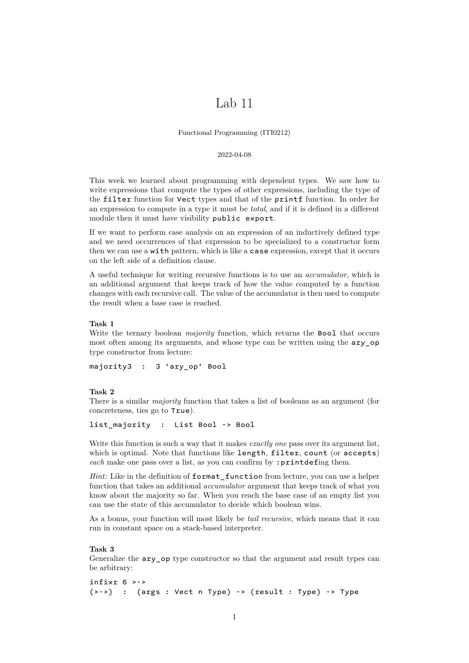# Lab 11

Functional Programming (ITI0212)

### 2022-04-08

This week we learned about programming with dependent types. We saw how to write expressions that compute the types of other expressions, including the type of the filter function for Vect types and that of the printf function. In order for an expression to compute in a type it must be *total*, and if it is defined in a different module then it must have visibility public export.

If we want to perform case analysis on an expression of an inductively defined type and we need occurrences of that expression to be specialized to a constructor form then we can use a with pattern, which is like a case expression, except that it occurs on the left side of a definition clause.

A useful technique for writing recursive functions is to use an *accumulator*, which is an additional argument that keeps track of how the value computed by a function changes with each recursive call. The value of the accumulator is then used to compute the result when a base case is reached.

## **Task 1**

Write the ternary boolean *majority* function, which returns the Bool that occurs most often among its arguments, and whose type can be written using the  $\texttt{ary\_op}$ type constructor from lecture:

majority3 : 3 'ary\_op' Bool

# **Task 2**

There is a similar *majority* function that takes a list of booleans as an argument (for concreteness, ties go to True).

list\_majority : List Bool -> Bool

Write this function is such a way that it makes *exactly one* pass over its argument list, which is optimal. Note that functions like length, filter, count (or accepts) *each* make one pass over a list, as you can confirm by: printdefing them.

*Hint:* Like in the definition of  $format_function$  function from lecture, you can use a helper function that takes an additional *accumulator* argument that keeps track of what you know about the majority so far. When you reach the base case of an empty list you can use the state of this accumulator to decide which boolean wins.

As a bonus, your function will most likely be *tail recursive*, which means that it can run in constant space on a stack-based interpreter.

### **Task 3**

Generalize the  $\arg \varphi$  op type constructor so that the argument and result types can be arbitrary:

```
infixr 6 >->
(\rightarrow -\rightarrow) : (args : Vect n Type) -> (result : Type) -> Type
```